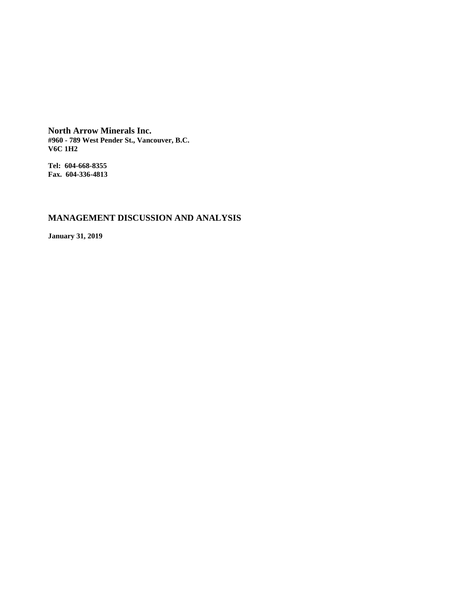**North Arrow Minerals Inc. #960 - 789 West Pender St., Vancouver, B.C. V6C 1H2**

**Tel: 604-668-8355 Fax. 604-336-4813**

# **MANAGEMENT DISCUSSION AND ANALYSIS**

**January 31, 2019**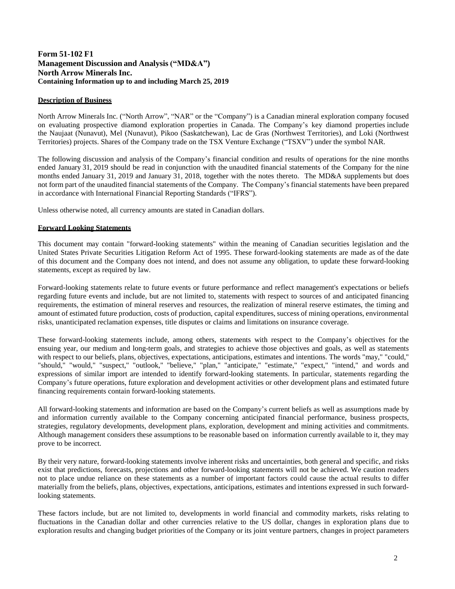## **Form 51-102 F1 Management Discussion and Analysis ("MD&A") North Arrow Minerals Inc. Containing Information up to and including March 25, 2019**

## **Description of Business**

North Arrow Minerals Inc. ("North Arrow", "NAR" or the "Company") is a Canadian mineral exploration company focused on evaluating prospective diamond exploration properties in Canada. The Company's key diamond properties include the Naujaat (Nunavut), Mel (Nunavut), Pikoo (Saskatchewan), Lac de Gras (Northwest Territories), and Loki (Northwest Territories) projects. Shares of the Company trade on the TSX Venture Exchange ("TSXV") under the symbol NAR.

The following discussion and analysis of the Company's financial condition and results of operations for the nine months ended January 31, 2019 should be read in conjunction with the unaudited financial statements of the Company for the nine months ended January 31, 2019 and January 31, 2018, together with the notes thereto. The MD&A supplements but does not form part of the unaudited financial statements of the Company. The Company's financial statements have been prepared in accordance with International Financial Reporting Standards ("IFRS").

Unless otherwise noted, all currency amounts are stated in Canadian dollars.

## **Forward Looking Statements**

This document may contain "forward-looking statements" within the meaning of Canadian securities legislation and the United States Private Securities Litigation Reform Act of 1995. These forward-looking statements are made as of the date of this document and the Company does not intend, and does not assume any obligation, to update these forward-looking statements, except as required by law.

Forward-looking statements relate to future events or future performance and reflect management's expectations or beliefs regarding future events and include, but are not limited to, statements with respect to sources of and anticipated financing requirements, the estimation of mineral reserves and resources, the realization of mineral reserve estimates, the timing and amount of estimated future production, costs of production, capital expenditures, success of mining operations, environmental risks, unanticipated reclamation expenses, title disputes or claims and limitations on insurance coverage.

These forward-looking statements include, among others, statements with respect to the Company's objectives for the ensuing year, our medium and long-term goals, and strategies to achieve those objectives and goals, as well as statements with respect to our beliefs, plans, objectives, expectations, anticipations, estimates and intentions. The words "may," "could," "should," "would," "suspect," "outlook," "believe," "plan," "anticipate," "estimate," "expect," "intend," and words and expressions of similar import are intended to identify forward-looking statements. In particular, statements regarding the Company's future operations, future exploration and development activities or other development plans and estimated future financing requirements contain forward-looking statements.

All forward-looking statements and information are based on the Company's current beliefs as well as assumptions made by and information currently available to the Company concerning anticipated financial performance, business prospects, strategies, regulatory developments, development plans, exploration, development and mining activities and commitments. Although management considers these assumptions to be reasonable based on information currently available to it, they may prove to be incorrect.

By their very nature, forward-looking statements involve inherent risks and uncertainties, both general and specific, and risks exist that predictions, forecasts, projections and other forward-looking statements will not be achieved. We caution readers not to place undue reliance on these statements as a number of important factors could cause the actual results to differ materially from the beliefs, plans, objectives, expectations, anticipations, estimates and intentions expressed in such forwardlooking statements.

These factors include, but are not limited to, developments in world financial and commodity markets, risks relating to fluctuations in the Canadian dollar and other currencies relative to the US dollar, changes in exploration plans due to exploration results and changing budget priorities of the Company or its joint venture partners, changes in project parameters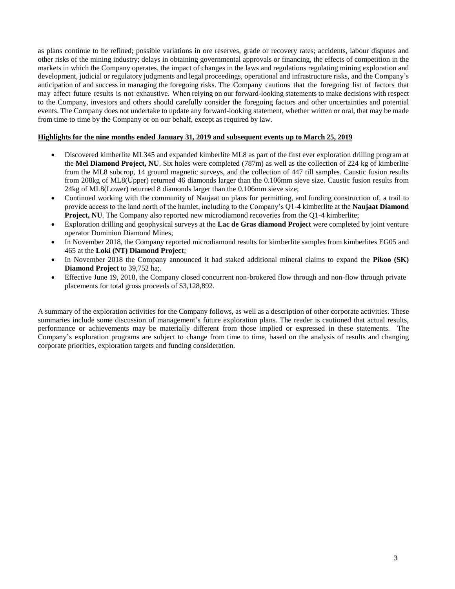as plans continue to be refined; possible variations in ore reserves, grade or recovery rates; accidents, labour disputes and other risks of the mining industry; delays in obtaining governmental approvals or financing, the effects of competition in the markets in which the Company operates, the impact of changes in the laws and regulations regulating mining exploration and development, judicial or regulatory judgments and legal proceedings, operational and infrastructure risks, and the Company's anticipation of and success in managing the foregoing risks. The Company cautions that the foregoing list of factors that may affect future results is not exhaustive. When relying on our forward-looking statements to make decisions with respect to the Company, investors and others should carefully consider the foregoing factors and other uncertainties and potential events. The Company does not undertake to update any forward-looking statement, whether written or oral, that may be made from time to time by the Company or on our behalf, except as required by law.

## **Highlights for the nine months ended January 31, 2019 and subsequent events up to March 25, 2019**

- Discovered kimberlite ML345 and expanded kimberlite ML8 as part of the first ever exploration drilling program at the **Mel Diamond Project, NU**. Six holes were completed (787m) as well as the collection of 224 kg of kimberlite from the ML8 subcrop, 14 ground magnetic surveys, and the collection of 447 till samples. Caustic fusion results from 208kg of ML8(Upper) returned 46 diamonds larger than the 0.106mm sieve size. Caustic fusion results from 24kg of ML8(Lower) returned 8 diamonds larger than the 0.106mm sieve size;
- Continued working with the community of Naujaat on plans for permitting, and funding construction of, a trail to provide access to the land north of the hamlet, including to the Company's Q1-4 kimberlite at the **Naujaat Diamond Project, NU**. The Company also reported new microdiamond recoveries from the Q1-4 kimberlite;
- Exploration drilling and geophysical surveys at the **Lac de Gras diamond Project** were completed by joint venture operator Dominion Diamond Mines;
- In November 2018, the Company reported microdiamond results for kimberlite samples from kimberlites EG05 and 465 at the **Loki (NT) Diamond Project**;
- In November 2018 the Company announced it had staked additional mineral claims to expand the **Pikoo (SK) Diamond Project** to 39,752 ha;.
- Effective June 19, 2018, the Company closed concurrent non-brokered flow through and non-flow through private placements for total gross proceeds of \$3,128,892.

A summary of the exploration activities for the Company follows, as well as a description of other corporate activities. These summaries include some discussion of management's future exploration plans. The reader is cautioned that actual results, performance or achievements may be materially different from those implied or expressed in these statements. The Company's exploration programs are subject to change from time to time, based on the analysis of results and changing corporate priorities, exploration targets and funding consideration.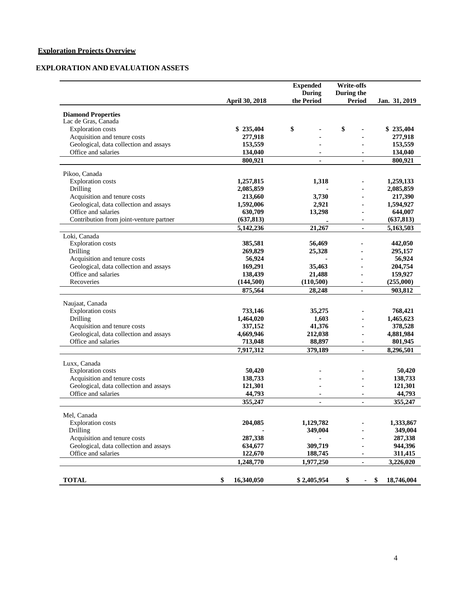# **Exploration Projects Overview**

## **EXPLORATION AND EVALUATION ASSETS**

|                                         |                  | <b>Expended</b><br><b>During</b> | <b>Write-offs</b><br>During the |                  |
|-----------------------------------------|------------------|----------------------------------|---------------------------------|------------------|
|                                         | April 30, 2018   | the Period                       | <b>Period</b>                   | Jan. 31, 2019    |
| <b>Diamond Properties</b>               |                  |                                  |                                 |                  |
| Lac de Gras, Canada                     |                  |                                  |                                 |                  |
| <b>Exploration</b> costs                | \$235,404        | \$                               | \$                              | \$235,404        |
| Acquisition and tenure costs            | 277,918          |                                  |                                 | 277,918          |
| Geological, data collection and assays  | 153,559          |                                  |                                 | 153,559          |
| Office and salaries                     | 134,040          |                                  |                                 | 134,040          |
|                                         | 800,921          | $\blacksquare$                   | $\blacksquare$                  | 800,921          |
| Pikoo, Canada                           |                  |                                  |                                 |                  |
| <b>Exploration</b> costs                | 1,257,815        | 1,318                            |                                 | 1,259,133        |
| Drilling                                | 2,085,859        |                                  |                                 | 2,085,859        |
| Acquisition and tenure costs            | 213,660          | 3,730                            |                                 | 217,390          |
| Geological, data collection and assays  | 1,592,006        | 2,921                            |                                 | 1,594,927        |
| Office and salaries                     | 630,709          | 13,298                           |                                 | 644,007          |
| Contribution from joint-venture partner | (637, 813)       |                                  |                                 | (637, 813)       |
|                                         | 5,142,236        | 21,267                           | ٠                               | 5,163,503        |
| Loki, Canada                            |                  |                                  |                                 |                  |
| <b>Exploration</b> costs                | 385,581          | 56,469                           |                                 | 442,050          |
| Drilling                                | 269,829          | 25,328                           |                                 | 295,157          |
| Acquisition and tenure costs            | 56,924           |                                  |                                 | 56,924           |
| Geological, data collection and assays  | 169,291          | 35,463                           |                                 | 204,754          |
| Office and salaries                     | 138,439          | 21,488                           |                                 | 159,927          |
| Recoveries                              | (144,500)        | (110, 500)                       | ٠                               | (255,000)        |
|                                         | 875,564          | 28,248                           |                                 | 903,812          |
| Naujaat, Canada                         |                  |                                  |                                 |                  |
| <b>Exploration</b> costs                | 733,146          | 35,275                           |                                 | 768,421          |
| Drilling                                | 1,464,020        | 1,603                            |                                 | 1,465,623        |
| Acquisition and tenure costs            | 337,152          | 41,376                           |                                 | 378,528          |
| Geological, data collection and assays  | 4,669,946        | 212,038                          |                                 | 4,881,984        |
| Office and salaries                     | 713,048          | 88,897                           |                                 | 801,945          |
|                                         | 7,917,312        | 379,189                          |                                 | 8,296,501        |
| Luxx, Canada                            |                  |                                  |                                 |                  |
| <b>Exploration</b> costs                | 50,420           |                                  |                                 | 50,420           |
| Acquisition and tenure costs            | 138,733          |                                  |                                 | 138,733          |
| Geological, data collection and assays  | 121,301          |                                  |                                 | 121,301          |
| Office and salaries                     | 44,793           |                                  |                                 | 44,793           |
|                                         | 355,247          | ٠                                | ٠                               | 355,247          |
| Mel, Canada                             |                  |                                  |                                 |                  |
| <b>Exploration</b> costs                | 204,085          | 1,129,782                        |                                 | 1,333,867        |
| Drilling                                |                  | 349,004                          |                                 | 349,004          |
| Acquisition and tenure costs            | 287,338          |                                  |                                 | 287,338          |
| Geological, data collection and assays  | 634,677          | 309,719                          |                                 | 944,396          |
| Office and salaries                     | 122,670          | 188,745                          |                                 | 311,415          |
|                                         | 1,248,770        | 1,977,250                        |                                 | 3,226,020        |
|                                         |                  |                                  |                                 |                  |
| <b>TOTAL</b>                            | \$<br>16,340,050 | \$2,405,954                      | \$<br>$\blacksquare$            | 18,746,004<br>\$ |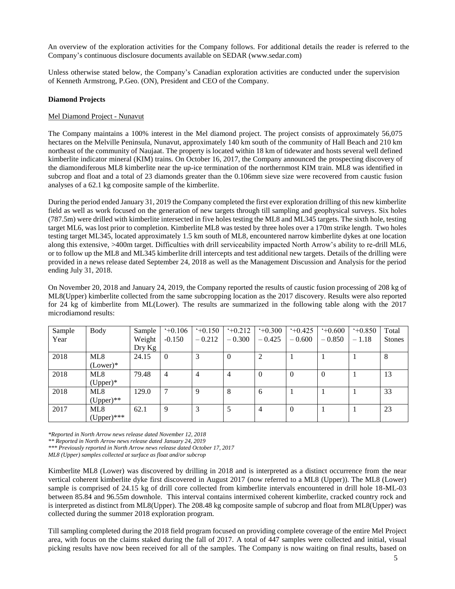An overview of the exploration activities for the Company follows. For additional details the reader is referred to the Company's continuous disclosure documents available on [SEDAR \(www.sedar.com](http://www.sedar.com/))

Unless otherwise stated below, the Company's Canadian exploration activities are conducted under the supervision of Kenneth Armstrong, P.Geo. (ON), President and CEO of the Company.

## **Diamond Projects**

#### Mel Diamond Project - Nunavut

The Company maintains a 100% interest in the Mel diamond project. The project consists of approximately 56,075 hectares on the Melville Peninsula, Nunavut, approximately 140 km south of the community of Hall Beach and 210 km northeast of the community of Naujaat. The property is located within 18 km of tidewater and hosts several well defined kimberlite indicator mineral (KIM) trains. On October 16, 2017, the Company announced the prospecting discovery of the diamondiferous ML8 kimberlite near the up-ice termination of the northernmost KIM train. ML8 was identified in subcrop and float and a total of 23 diamonds greater than the 0.106mm sieve size were recovered from caustic fusion analyses of a 62.1 kg composite sample of the kimberlite.

During the period ended January 31, 2019 the Company completed the first ever exploration drilling of this new kimberlite field as well as work focused on the generation of new targets through till sampling and geophysical surveys. Six holes (787.5m) were drilled with kimberlite intersected in five holes testing the ML8 and ML345 targets. The sixth hole, testing target ML6, was lost prior to completion. Kimberlite ML8 was tested by three holes over a 170m strike length. Two holes testing target ML345, located approximately 1.5 km south of ML8, encountered narrow kimberlite dykes at one location along this extensive, >400m target. Difficulties with drill serviceability impacted North Arrow's ability to re-drill ML6, or to follow up the ML8 and ML345 kimberlite drill intercepts and test additional new targets. Details of the drilling were provided in a news release dated September 24, 2018 as well as the Management Discussion and Analysis for the period ending July 31, 2018.

On November 20, 2018 and January 24, 2019, the Company reported the results of caustic fusion processing of 208 kg of ML8(Upper) kimberlite collected from the same subcropping location as the 2017 discovery. Results were also reported for 24 kg of kimberlite from ML(Lower). The results are summarized in the following table along with the 2017 microdiamond results:

| Sample | Body          | Sample | $+0.106$       | $+0.150$ | $+0.212$ | $+0.300$ | $+0.425$       | $+0.600$ | $+0.850$ | Total         |
|--------|---------------|--------|----------------|----------|----------|----------|----------------|----------|----------|---------------|
| Year   |               | Weight | $-0.150$       | $-0.212$ | $-0.300$ | $-0.425$ | $-0.600$       | $-0.850$ | $-1.18$  | <b>Stones</b> |
|        |               | Dry Kg |                |          |          |          |                |          |          |               |
| 2018   | ML8           | 24.15  | $\theta$       |          | $\theta$ |          |                |          |          | 8             |
|        | $(Lower)*$    |        |                |          |          |          |                |          |          |               |
| 2018   | ML8           | 79.48  | $\overline{4}$ | 4        | 4        | $\Omega$ | $\Omega$       | $\theta$ |          | 13            |
|        | $(Upper)*$    |        |                |          |          |          |                |          |          |               |
| 2018   | ML8           | 129.0  | 7              | Q        | 8        | 6        |                |          |          | 33            |
|        | $(Upper)$ **  |        |                |          |          |          |                |          |          |               |
| 2017   | ML8           | 62.1   | 9              |          | 5        | 4        | $\overline{0}$ |          |          | 23            |
|        | $(Upper)$ *** |        |                |          |          |          |                |          |          |               |

*\*Reported in North Arrow news release dated November 12, 2018*

*\*\* Reported in North Arrow news release dated January 24, 2019*

*\*\*\* Previously reported in North Arrow news release dated October 17, 2017*

*ML8 (Upper) samples collected at surface as float and/or subcrop*

Kimberlite ML8 (Lower) was discovered by drilling in 2018 and is interpreted as a distinct occurrence from the near vertical coherent kimberlite dyke first discovered in August 2017 (now referred to a ML8 (Upper)). The ML8 (Lower) sample is comprised of 24.15 kg of drill core collected from kimberlite intervals encountered in drill hole 18-ML-03 between 85.84 and 96.55m downhole. This interval contains intermixed coherent kimberlite, cracked country rock and is interpreted as distinct from ML8(Upper). The 208.48 kg composite sample of subcrop and float from ML8(Upper) was collected during the summer 2018 exploration program.

Till sampling completed during the 2018 field program focused on providing complete coverage of the entire Mel Project area, with focus on the claims staked during the fall of 2017. A total of 447 samples were collected and initial, visual picking results have now been received for all of the samples. The Company is now waiting on final results, based on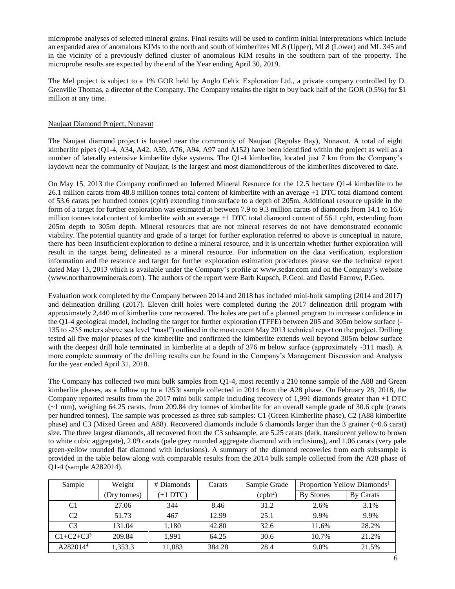microprobe analyses of selected mineral grains. Final results will be used to confirm initial interpretations which include an expanded area of anomalous KIMs to the north and south of kimberlites ML8 (Upper), ML8 (Lower) and ML 345 and in the vicinity of a previously defined cluster of anomalous KIM results in the southern part of the property. The microprobe results are expected by the end of the Year ending April 30, 2019.

The Mel project is subject to a 1% GOR held by Anglo Celtic Exploration Ltd., a private company controlled by D. Grenville Thomas, a director of the Company. The Company retains the right to buy back half of the GOR (0.5%) for \$1 million at any time.

## Naujaat Diamond Project, Nunavut

The Naujaat diamond project is located near the community of Naujaat (Repulse Bay), Nunavut. A total of eight kimberlite pipes (Q1-4, A34, A42, A59, A76, A94, A97 and A152) have been identified within the project as well as a number of laterally extensive kimberlite dyke systems. The Q1-4 kimberlite, located just 7 km from the Company's laydown near the community of Naujaat, is the largest and most diamondiferous of the kimberlites discovered to date.

On May 15, 2013 the Company confirmed an Inferred Mineral Resource for the 12.5 hectare Q1-4 kimberlite to be 26.1 million carats from 48.8 million tonnes total content of kimberlite with an average +1 DTC total diamond content of 53.6 carats per hundred tonnes (cpht) extending from surface to a depth of 205m. Additional resource upside in the form of a target for further exploration was estimated at between 7.9 to 9.3 million carats of diamonds from 14.1 to 16.6 million tonnes total content of kimberlite with an average +1 DTC total diamond content of 56.1 cpht, extending from 205m depth to 305m depth. Mineral resources that are not mineral reserves do not have demonstrated economic viability. The potential quantity and grade of a target for further exploration referred to above is conceptual in nature, there has been insufficient exploration to define a mineral resource, and it is uncertain whether further exploration will result in the target being delineated as a mineral resource. For information on the data verification, exploration information and the resource and target for further exploration estimation procedures please see the technical report dated May 13, 2013 which is available under the Company's profile at [www.sedar.com](http://www.sedar.com/) and on the Company's website [\(www.northarrowminerals.com\)](http://www.northarrowminerals.com/). The authors of the report were Barb Kupsch, P.Geol. and David Farrow, P.Geo.

Evaluation work completed by the Company between 2014 and 2018 has included mini-bulk sampling (2014 and 2017) and delineation drilling (2017). Eleven drill holes were completed during the 2017 delineation drill program with approximately 2,440 m of kimberlite core recovered. The holes are part of a planned program to increase confidence in the Q1-4 geological model, including the target for further exploration (TFFE) between 205 and 305m below surface (- 135 to -235 meters above sea level "masl") outlined in the most recent May 2013 technical report on the project. Drilling tested all five major phases of the kimberlite and confirmed the kimberlite extends well beyond 305m below surface with the deepest drill hole terminated in kimberlite at a depth of 376 m below surface (approximately -311 masl). A more complete summary of the drilling results can be found in the Company's Management Discussion and Analysis for the year ended April 31, 2018.

The Company has collected two mini bulk samples from Q1-4, most recently a 210 tonne sample of the A88 and Green kimberlite phases, as a follow up to a 1353t sample collected in 2014 from the A28 phase. On February 28, 2018, the Company reported results from the 2017 mini bulk sample including recovery of 1,991 diamonds greater than +1 DTC (~1 mm), weighing 64.25 carats, from 209.84 dry tonnes of kimberlite for an overall sample grade of 30.6 cpht (carats per hundred tonnes). The sample was processed as three sub samples: C1 (Green Kimberlite phase), C2 (A88 kimberlite phase) and C3 (Mixed Green and A88). Recovered diamonds include 6 diamonds larger than the 3 grainer (~0.6 carat) size. The three largest diamonds, all recovered from the C3 subsample, are 5.25 carats (dark, translucent yellow to brown to white cubic aggregate), 2.09 carats (pale grey rounded aggregate diamond with inclusions), and 1.06 carats (very pale green-yellow rounded flat diamond with inclusions). A summary of the diamond recoveries from each subsample is provided in the table below along with comparable results from the 2014 bulk sample collected from the A28 phase of Q1-4 (sample A282014).

| Sample               | Weight       | # Diamonds | Carats | Sample Grade         | Proportion Yellow Diamonds <sup>1</sup> |           |
|----------------------|--------------|------------|--------|----------------------|-----------------------------------------|-----------|
|                      | (Dry tonnes) | $(+1$ DTC) |        | (cpht <sup>2</sup> ) | <b>By Stones</b>                        | By Carats |
| C1                   | 27.06        | 344        | 8.46   | 31.2                 | 2.6%                                    | 3.1%      |
| C <sub>2</sub>       | 51.73        | 467        | 12.99  | 25.1                 | 9.9%                                    | 9.9%      |
| C <sub>3</sub>       | 131.04       | 1,180      | 42.80  | 32.6                 | 11.6%                                   | 28.2%     |
| $C1 + C2 + C3^3$     | 209.84       | 1.991      | 64.25  | 30.6                 | 10.7%                                   | 21.2%     |
| A282014 <sup>4</sup> | 1,353.3      | 11.083     | 384.28 | 28.4                 | 9.0%                                    | 21.5%     |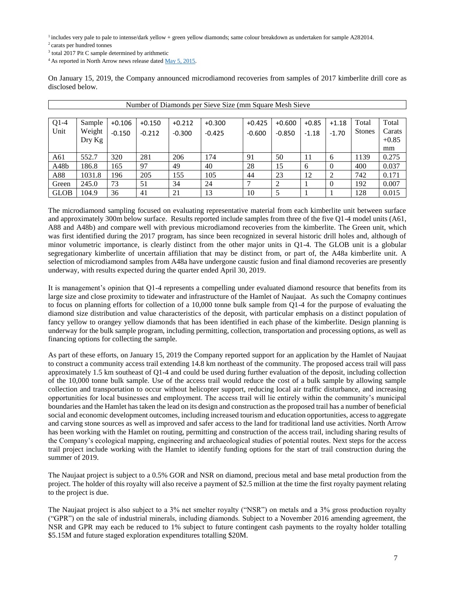<sup>1</sup> includes very pale to pale to intense/dark yellow + green yellow diamonds; same colour breakdown as undertaken for sample A282014.

<sup>3</sup> total 2017 Pit C sample determined by arithmetic

<sup>4</sup> As reported in North Arrow news release dated [May 5, 2015.](http://www.northarrowminerals.com/news/press_releases/2015/index.php?content_id=178)

On January 15, 2019, the Company announced microdiamond recoveries from samples of 2017 kimberlite drill core as disclosed below.

|                   | Number of Diamonds per Sieve Size (mm Square Mesh Sieve |          |          |          |          |          |          |         |          |               |         |
|-------------------|---------------------------------------------------------|----------|----------|----------|----------|----------|----------|---------|----------|---------------|---------|
|                   |                                                         |          |          |          |          |          |          |         |          |               |         |
| $Q1-4$            | Sample                                                  | $+0.106$ | $+0.150$ | $+0.212$ | $+0.300$ | $+0.425$ | $+0.600$ | $+0.85$ | $+1.18$  | Total         | Total   |
| Unit              | Weight                                                  | $-0.150$ | $-0.212$ | $-0.300$ | $-0.425$ | $-0.600$ | $-0.850$ | $-1.18$ | $-1.70$  | <b>Stones</b> | Carats  |
|                   | Dry Kg                                                  |          |          |          |          |          |          |         |          |               | $+0.85$ |
|                   |                                                         |          |          |          |          |          |          |         |          |               | mm      |
| A61               | 552.7                                                   | 320      | 281      | 206      | 174      | 91       | 50       | 11      | 6        | 1139          | 0.275   |
| A <sub>48</sub> b | 186.8                                                   | 165      | 97       | 49       | 40       | 28       | 15       | 6       | $\theta$ | 400           | 0.037   |
| A88               | 1031.8                                                  | 196      | 205      | 155      | 105      | 44       | 23       | 12      | ↑        | 742           | 0.171   |
| Green             | 245.0                                                   | 73       | 51       | 34       | 24       |          |          |         | $\Omega$ | 192           | 0.007   |
| <b>GLOB</b>       | 104.9                                                   | 36       | 41       | 21       | 13       | 10       | 5        |         |          | 128           | 0.015   |

The microdiamond sampling focused on evaluating representative material from each kimberlite unit between surface and approximately 300m below surface. Results reported include samples from three of the five Q1-4 model units (A61, A88 and A48b) and compare well with previous microdiamond recoveries from the kimberlite. The Green unit, which was first identified during the 2017 program, has since been recognized in several historic drill holes and, although of minor volumetric importance, is clearly distinct from the other major units in Q1-4. The GLOB unit is a globular segregationary kimberlite of uncertain affiliation that may be distinct from, or part of, the A48a kimberlite unit. A selection of microdiamond samples from A48a have undergone caustic fusion and final diamond recoveries are presently underway, with results expected during the quarter ended April 30, 2019.

It is management's opinion that Q1-4 represents a compelling under evaluated diamond resource that benefits from its large size and close proximity to tidewater and infrastructure of the Hamlet of Naujaat. As such the Comapny continues to focus on planning efforts for collection of a 10,000 tonne bulk sample from Q1-4 for the purpose of evaluating the diamond size distribution and value characteristics of the deposit, with particular emphasis on a distinct population of fancy yellow to orangey yellow diamonds that has been identified in each phase of the kimberlite. Design planning is underway for the bulk sample program, including permitting, collection, transportation and processing options, as well as financing options for collecting the sample.

As part of these efforts, on January 15, 2019 the Company reported support for an application by the Hamlet of Naujaat to construct a community access trail extending 14.8 km northeast of the community. The proposed access trail will pass approximately 1.5 km southeast of Q1-4 and could be used during further evaluation of the deposit, including collection of the 10,000 tonne bulk sample. Use of the access trail would reduce the cost of a bulk sample by allowing sample collection and transportation to occur without helicopter support, reducing local air traffic disturbance, and increasing opportunities for local businesses and employment. The access trail will lie entirely within the community's municipal boundaries and the Hamlet has taken the lead on its design and construction as the proposed trail has a number of beneficial social and economic development outcomes, including increased tourism and education opportunities, access to aggregate and carving stone sources as well as improved and safer access to the land for traditional land use activities. North Arrow has been working with the Hamlet on routing, permitting and construction of the access trail, including sharing results of the Company's ecological mapping, engineering and archaeological studies of potential routes. Next steps for the access trail project include working with the Hamlet to identify funding options for the start of trail construction during the summer of 2019.

The Naujaat project is subject to a 0.5% GOR and NSR on diamond, precious metal and base metal production from the project. The holder of this royalty will also receive a payment of \$2.5 million at the time the first royalty payment relating to the project is due.

The Naujaat project is also subject to a 3% net smelter royalty ("NSR") on metals and a 3% gross production royalty ("GPR") on the sale of industrial minerals, including diamonds. Subject to a November 2016 amending agreement, the NSR and GPR may each be reduced to 1% subject to future contingent cash payments to the royalty holder totalling \$5.15M and future staged exploration expenditures totalling \$20M.

<sup>2</sup>carats per hundred tonnes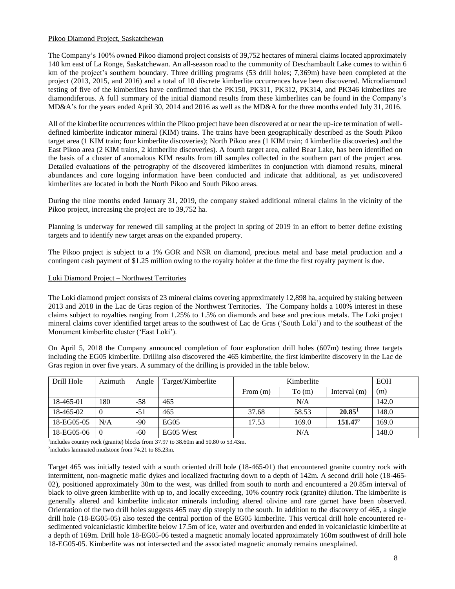## Pikoo Diamond Project, Saskatchewan

The Company's 100% owned Pikoo diamond project consists of 39,752 hectares of mineral claims located approximately 140 km east of La Ronge, Saskatchewan. An all-season road to the community of Deschambault Lake comes to within 6 km of the project's southern boundary. Three drilling programs (53 drill holes; 7,369m) have been completed at the project (2013, 2015, and 2016) and a total of 10 discrete kimberlite occurrences have been discovered. Microdiamond testing of five of the kimberlites have confirmed that the PK150, PK311, PK312, PK314, and PK346 kimberlites are diamondiferous. A full summary of the initial diamond results from these kimberlites can be found in the Company's MD&A's for the years ended April 30, 2014 and 2016 as well as the MD&A for the three months ended July 31, 2016.

All of the kimberlite occurrences within the Pikoo project have been discovered at or near the up-ice termination of welldefined kimberlite indicator mineral (KIM) trains. The trains have been geographically described as the South Pikoo target area (1 KIM train; four kimberlite discoveries); North Pikoo area (1 KIM train; 4 kimberlite discoveries) and the East Pikoo area (2 KIM trains, 2 kimberlite discoveries). A fourth target area, called Bear Lake, has been identified on the basis of a cluster of anomalous KIM results from till samples collected in the southern part of the project area. Detailed evaluations of the petrography of the discovered kimberlites in conjunction with diamond results, mineral abundances and core logging information have been conducted and indicate that additional, as yet undiscovered kimberlites are located in both the North Pikoo and South Pikoo areas.

During the nine months ended January 31, 2019, the company staked additional mineral claims in the vicinity of the Pikoo project, increasing the project are to 39,752 ha.

Planning is underway for renewed till sampling at the project in spring of 2019 in an effort to better define existing targets and to identify new target areas on the expanded property.

The Pikoo project is subject to a 1% GOR and NSR on diamond, precious metal and base metal production and a contingent cash payment of \$1.25 million owing to the royalty holder at the time the first royalty payment is due.

#### Loki Diamond Project – Northwest Territories

The Loki diamond project consists of 23 mineral claims covering approximately 12,898 ha, acquired by staking between 2013 and 2018 in the Lac de Gras region of the Northwest Territories. The Company holds a 100% interest in these claims subject to royalties ranging from 1.25% to 1.5% on diamonds and base and precious metals. The Loki project mineral claims cover identified target areas to the southwest of Lac de Gras ('South Loki') and to the southeast of the Monument kimberlite cluster ('East Loki').

On April 5, 2018 the Company announced completion of four exploration drill holes (607m) testing three targets including the EG05 kimberlite. Drilling also discovered the 465 kimberlite, the first kimberlite discovery in the Lac de Gras region in over five years. A summary of the drilling is provided in the table below.

| Drill Hole | Azimuth        | Angle | Target/Kimberlite |            | Kimberlite |                | <b>EOH</b> |
|------------|----------------|-------|-------------------|------------|------------|----------------|------------|
|            |                |       |                   | From $(m)$ | To(m)      | Interval $(m)$ | (m)        |
| 18-465-01  | 180            | -58   | 465               |            | N/A        |                | 142.0      |
| 18-465-02  | $\Omega$       | $-51$ | 465               | 37.68      | 58.53      | $20.85^1$      | 148.0      |
| 18-EG05-05 | N/A            | $-90$ | EGO <sub>5</sub>  | 17.53      | 169.0      | $151.47^2$     | 169.0      |
| 18-EG05-06 | $\overline{0}$ | -60   | EG05 West         |            | N/A        |                | 148.0      |

<sup>1</sup>includes country rock (granite) blocks from 37.97 to 38.60m and 50.80 to 53.43m.

2 includes laminated mudstone from 74.21 to 85.23m.

Target 465 was initially tested with a south oriented drill hole (18-465-01) that encountered granite country rock with intermittent, non-magnetic mafic dykes and localized fracturing down to a depth of 142m. A second drill hole (18-465- 02), positioned approximately 30m to the west, was drilled from south to north and encountered a 20.85m interval of black to olive green kimberlite with up to, and locally exceeding, 10% country rock (granite) dilution. The kimberlite is generally altered and kimberlite indicator minerals including altered olivine and rare garnet have been observed. Orientation of the two drill holes suggests 465 may dip steeply to the south. In addition to the discovery of 465, a single drill hole (18-EG05-05) also tested the central portion of the EG05 kimberlite. This vertical drill hole encountered resedimented volcaniclastic kimberlite below 17.5m of ice, water and overburden and ended in volcaniclastic kimberlite at a depth of 169m. Drill hole 18-EG05-06 tested a magnetic anomaly located approximately 160m southwest of drill hole 18-EG05-05. Kimberlite was not intersected and the associated magnetic anomaly remains unexplained.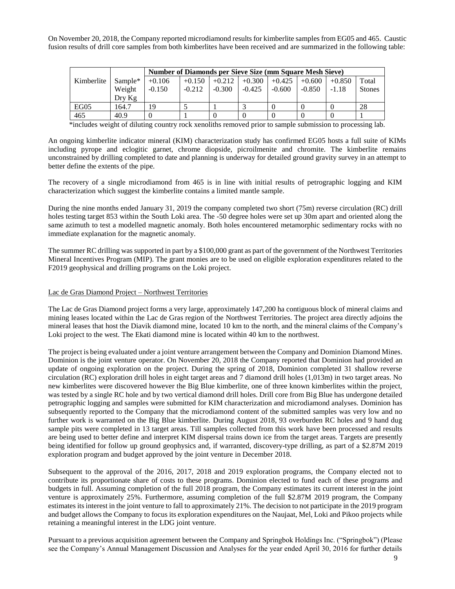On November 20, 2018, the Company reported microdiamond results for kimberlite samples from EG05 and 465. Caustic fusion results of drill core samples from both kimberlites have been received and are summarized in the following table:

|            |           |          | <b>Number of Diamonds per Sieve Size (mm Square Mesh Sieve)</b> |          |          |          |          |          |               |  |
|------------|-----------|----------|-----------------------------------------------------------------|----------|----------|----------|----------|----------|---------------|--|
| Kimberlite | $Sample*$ | $+0.106$ | $+0.150$                                                        | $+0.212$ | $+0.300$ | $+0.425$ | $+0.600$ | $+0.850$ | Total         |  |
|            | Weight    | $-0.150$ | $-0.212$                                                        | $-0.300$ | $-0.425$ | $-0.600$ | $-0.850$ | $-1.18$  | <b>Stones</b> |  |
|            | Drv Kg    |          |                                                                 |          |          |          |          |          |               |  |
| EG05       | 164.7     | 19       |                                                                 |          |          |          |          |          | 28            |  |
| 465        | 40.9      |          |                                                                 |          |          |          |          |          |               |  |

\*includes weight of diluting country rock xenoliths removed prior to sample submission to processing lab.

An ongoing kimberlite indicator mineral (KIM) characterization study has confirmed EG05 hosts a full suite of KIMs including pyrope and eclogitic garnet, chrome diopside, picroilmenite and chromite. The kimberlite remains unconstrained by drilling completed to date and planning is underway for detailed ground gravity survey in an attempt to better define the extents of the pipe.

The recovery of a single microdiamond from 465 is in line with initial results of petrographic logging and KIM characterization which suggest the kimberlite contains a limited mantle sample.

During the nine months ended January 31, 2019 the company completed two short (75m) reverse circulation (RC) drill holes testing target 853 within the South Loki area. The -50 degree holes were set up 30m apart and oriented along the same azimuth to test a modelled magnetic anomaly. Both holes encountered metamorphic sedimentary rocks with no immediate explanation for the magnetic anomaly.

The summer RC drilling was supported in part by a \$100,000 grant as part of the government of the Northwest Territories Mineral Incentives Program (MIP). The grant monies are to be used on eligible exploration expenditures related to the F2019 geophysical and drilling programs on the Loki project.

## Lac de Gras Diamond Project – Northwest Territories

The Lac de Gras Diamond project forms a very large, approximately 147,200 ha contiguous block of mineral claims and mining leases located within the Lac de Gras region of the Northwest Territories. The project area directly adjoins the mineral leases that host the Diavik diamond mine, located 10 km to the north, and the mineral claims of the Company's Loki project to the west. The Ekati diamond mine is located within 40 km to the northwest.

The project is being evaluated under a joint venture arrangement between the Company and Dominion Diamond Mines. Dominion is the joint venture operator. On November 20, 2018 the Company reported that Dominion had provided an update of ongoing exploration on the project. During the spring of 2018, Dominion completed 31 shallow reverse circulation (RC) exploration drill holes in eight target areas and 7 diamond drill holes (1,013m) in two target areas. No new kimberlites were discovered however the Big Blue kimberlite, one of three known kimberlites within the project, was tested by a single RC hole and by two vertical diamond drill holes. Drill core from Big Blue has undergone detailed petrographic logging and samples were submitted for KIM characterization and microdiamond analyses. Dominion has subsequently reported to the Company that the microdiamond content of the submitted samples was very low and no further work is warranted on the Big Blue kimberlite. During August 2018, 93 overburden RC holes and 9 hand dug sample pits were completed in 13 target areas. Till samples collected from this work have been processed and results are being used to better define and interpret KIM dispersal trains down ice from the target areas. Targets are presently being identified for follow up ground geophysics and, if warranted, discovery-type drilling, as part of a \$2.87M 2019 exploration program and budget approved by the joint venture in December 2018.

Subsequent to the approval of the 2016, 2017, 2018 and 2019 exploration programs, the Company elected not to contribute its proportionate share of costs to these programs. Dominion elected to fund each of these programs and budgets in full. Assuming completion of the full 2018 program, the Company estimates its current interest in the joint venture is approximately 25%. Furthermore, assuming completion of the full \$2.87M 2019 program, the Company estimates its interest in the joint venture to fall to approximately 21%. The decision to not participate in the 2019 program and budget allows the Company to focus its exploration expenditures on the Naujaat, Mel, Loki and Pikoo projects while retaining a meaningful interest in the LDG joint venture.

Pursuant to a previous acquisition agreement between the Company and Springbok Holdings Inc. ("Springbok") (Please see the Company's Annual Management Discussion and Analyses for the year ended April 30, 2016 for further details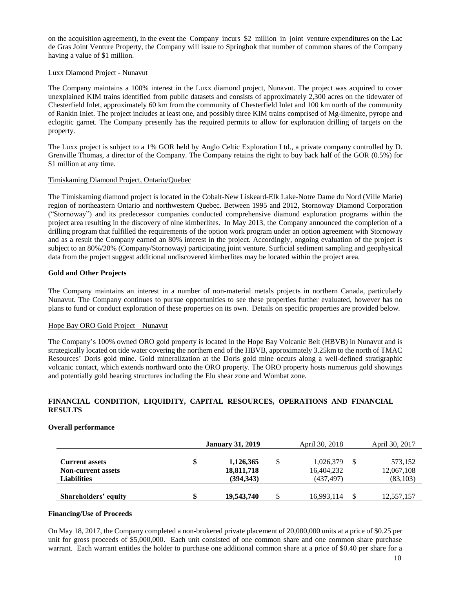on the acquisition agreement), in the event the Company incurs \$2 million in joint venture expenditures on the Lac de Gras Joint Venture Property, the Company will issue to Springbok that number of common shares of the Company having a value of \$1 million.

## Luxx Diamond Project - Nunavut

The Company maintains a 100% interest in the Luxx diamond project, Nunavut. The project was acquired to cover unexplained KIM trains identified from public datasets and consists of approximately 2,300 acres on the tidewater of Chesterfield Inlet, approximately 60 km from the community of Chesterfield Inlet and 100 km north of the community of Rankin Inlet. The project includes at least one, and possibly three KIM trains comprised of Mg-ilmenite, pyrope and eclogitic garnet. The Company presently has the required permits to allow for exploration drilling of targets on the property.

The Luxx project is subject to a 1% GOR held by Anglo Celtic Exploration Ltd., a private company controlled by D. Grenville Thomas, a director of the Company. The Company retains the right to buy back half of the GOR (0.5%) for \$1 million at any time.

## Timiskaming Diamond Project, Ontario/Quebec

The Timiskaming diamond project is located in the Cobalt-New Liskeard-Elk Lake-Notre Dame du Nord (Ville Marie) region of northeastern Ontario and northwestern Quebec. Between 1995 and 2012, Stornoway Diamond Corporation ("Stornoway") and its predecessor companies conducted comprehensive diamond exploration programs within the project area resulting in the discovery of nine kimberlites. In May 2013, the Company announced the completion of a drilling program that fulfilled the requirements of the option work program under an option agreement with Stornoway and as a result the Company earned an 80% interest in the project. Accordingly, ongoing evaluation of the project is subject to an 80%/20% (Company/Stornoway) participating joint venture. Surficial sediment sampling and geophysical data from the project suggest additional undiscovered kimberlites may be located within the project area.

## **Gold and Other Projects**

The Company maintains an interest in a number of non-material metals projects in northern Canada, particularly Nunavut. The Company continues to pursue opportunities to see these properties further evaluated, however has no plans to fund or conduct exploration of these properties on its own. Details on specific properties are provided below.

#### Hope Bay ORO Gold Project – Nunavut

The Company's 100% owned ORO gold property is located in the Hope Bay Volcanic Belt (HBVB) in Nunavut and is strategically located on tide water covering the northern end of the HBVB, approximately 3.25km to the north of TMAC Resources' Doris gold mine. Gold mineralization at the Doris gold mine occurs along a well-defined stratigraphic volcanic contact, which extends northward onto the ORO property. The ORO property hosts numerous gold showings and potentially gold bearing structures including the Elu shear zone and Wombat zone.

## **FINANCIAL CONDITION, LIQUIDITY, CAPITAL RESOURCES, OPERATIONS AND FINANCIAL RESULTS**

## **Overall performance**

|                           | <b>January 31, 2019</b> | April 30, 2018  | April 30, 2017 |
|---------------------------|-------------------------|-----------------|----------------|
| <b>Current assets</b>     | \$<br>1,126,365         | \$<br>1,026,379 | 573,152        |
| <b>Non-current assets</b> | 18,811,718              | 16,404,232      | 12,067,108     |
| <b>Liabilities</b>        | (394, 343)              | (437,497)       | (83, 103)      |
| Shareholders' equity      | 19,543,740              | 16.993.114      | 12,557,157     |

#### **Financing/Use of Proceeds**

On May 18, 2017, the Company completed a non-brokered private placement of 20,000,000 units at a price of \$0.25 per unit for gross proceeds of \$5,000,000. Each unit consisted of one common share and one common share purchase warrant. Each warrant entitles the holder to purchase one additional common share at a price of \$0.40 per share for a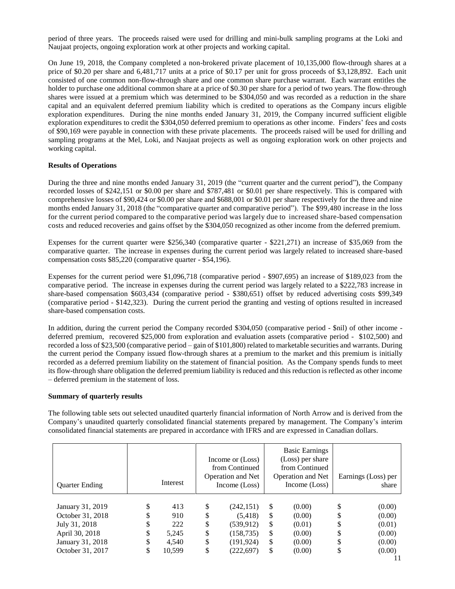period of three years. The proceeds raised were used for drilling and mini-bulk sampling programs at the Loki and Naujaat projects, ongoing exploration work at other projects and working capital.

On June 19, 2018, the Company completed a non-brokered private placement of 10,135,000 flow-through shares at a price of \$0.20 per share and 6,481,717 units at a price of \$0.17 per unit for gross proceeds of \$3,128,892. Each unit consisted of one common non-flow-through share and one common share purchase warrant. Each warrant entitles the holder to purchase one additional common share at a price of \$0.30 per share for a period of two years. The flow-through shares were issued at a premium which was determined to be \$304,050 and was recorded as a reduction in the share capital and an equivalent deferred premium liability which is credited to operations as the Company incurs eligible exploration expenditures. During the nine months ended January 31, 2019, the Company incurred sufficient eligible exploration expenditures to credit the \$304,050 deferred premium to operations as other income. Finders' fees and costs of \$90,169 were payable in connection with these private placements. The proceeds raised will be used for drilling and sampling programs at the Mel, Loki, and Naujaat projects as well as ongoing exploration work on other projects and working capital.

## **Results of Operations**

During the three and nine months ended January 31, 2019 (the "current quarter and the current period"), the Company recorded losses of \$242,151 or \$0.00 per share and \$787,481 or \$0.01 per share respectively. This is compared with comprehensive losses of \$90,424 or \$0.00 per share and \$688,001 or \$0.01 per share respectively for the three and nine months ended January 31, 2018 (the "comparative quarter and comparative period"). The \$99,480 increase in the loss for the current period compared to the comparative period was largely due to increased share-based compensation costs and reduced recoveries and gains offset by the \$304,050 recognized as other income from the deferred premium.

Expenses for the current quarter were \$256,340 (comparative quarter - \$221,271) an increase of \$35,069 from the comparative quarter. The increase in expenses during the current period was largely related to increased share-based compensation costs \$85,220 (comparative quarter - \$54,196).

Expenses for the current period were \$1,096,718 (comparative period - \$907,695) an increase of \$189,023 from the comparative period. The increase in expenses during the current period was largely related to a \$222,783 increase in share-based compensation \$603,434 (comparative period - \$380,651) offset by reduced advertising costs \$99,349 (comparative period - \$142,323). During the current period the granting and vesting of options resulted in increased share-based compensation costs.

In addition, during the current period the Company recorded \$304,050 (comparative period - \$nil) of other income deferred premium, recovered \$25,000 from exploration and evaluation assets (comparative period - \$102,500) and recorded a loss of \$23,500 (comparative period – gain of \$101,800) related to marketable securities and warrants. During the current period the Company issued flow-through shares at a premium to the market and this premium is initially recorded as a deferred premium liability on the statement of financial position. As the Company spends funds to meet its flow-through share obligation the deferred premium liability is reduced and this reduction is reflected as other income – deferred premium in the statement of loss.

#### **Summary of quarterly results**

The following table sets out selected unaudited quarterly financial information of North Arrow and is derived from the Company's unaudited quarterly consolidated financial statements prepared by management. The Company's interim consolidated financial statements are prepared in accordance with IFRS and are expressed in Canadian dollars.

| <b>Quarter Ending</b>                                                                       |                            | Interest                            |                            | Income or (Loss)<br>from Continued<br>Operation and Net<br>Income (Loss) |                            | <b>Basic Earnings</b><br>(Loss) per share<br>from Continued<br>Operation and Net<br>Income (Loss) |   | Earnings (Loss) per<br>share                   |
|---------------------------------------------------------------------------------------------|----------------------------|-------------------------------------|----------------------------|--------------------------------------------------------------------------|----------------------------|---------------------------------------------------------------------------------------------------|---|------------------------------------------------|
| January 31, 2019<br>October 31, 2018<br>July 31, 2018<br>April 30, 2018<br>January 31, 2018 | \$<br>\$<br>\$<br>\$<br>\$ | 413<br>910<br>222<br>5,245<br>4.540 | \$<br>\$<br>\$<br>\$<br>\$ | (242, 151)<br>(5,418)<br>(539, 912)<br>(158, 735)<br>(191, 924)          | \$<br>\$<br>\$<br>\$<br>\$ | (0.00)<br>(0.00)<br>(0.01)<br>(0.00)<br>(0.00)                                                    | S | (0.00)<br>(0.00)<br>(0.01)<br>(0.00)<br>(0.00) |
| October 31, 2017                                                                            | \$                         | 10,599                              | \$                         | (222, 697)                                                               | \$                         | (0.00)                                                                                            |   | (0.00)                                         |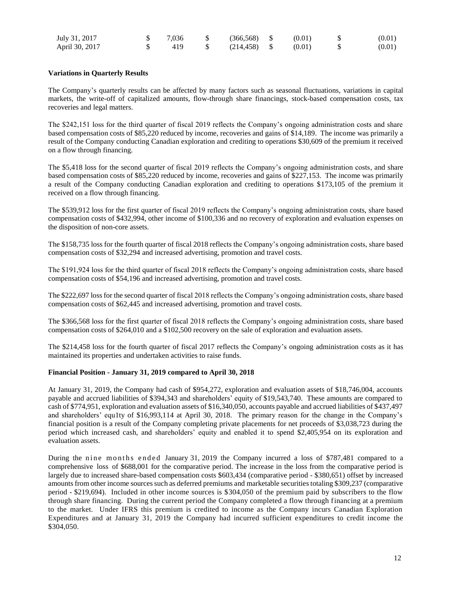| July 31, 2017  | 7.036 | $\$\qquad(366,568)\qquad\$\qquad(0.01)$ |        | (0.01) |
|----------------|-------|-----------------------------------------|--------|--------|
| April 30, 2017 | 419   | $\frac{1}{214,458}$ \$                  | (0.01) | (0.01) |

## **Variations in Quarterly Results**

The Company's quarterly results can be affected by many factors such as seasonal fluctuations, variations in capital markets, the write-off of capitalized amounts, flow-through share financings, stock-based compensation costs, tax recoveries and legal matters.

The \$242,151 loss for the third quarter of fiscal 2019 reflects the Company's ongoing administration costs and share based compensation costs of \$85,220 reduced by income, recoveries and gains of \$14,189. The income was primarily a result of the Company conducting Canadian exploration and crediting to operations \$30,609 of the premium it received on a flow through financing.

The \$5,418 loss for the second quarter of fiscal 2019 reflects the Company's ongoing administration costs, and share based compensation costs of \$85,220 reduced by income, recoveries and gains of \$227,153. The income was primarily a result of the Company conducting Canadian exploration and crediting to operations \$173,105 of the premium it received on a flow through financing.

The \$539,912 loss for the first quarter of fiscal 2019 reflects the Company's ongoing administration costs, share based compensation costs of \$432,994, other income of \$100,336 and no recovery of exploration and evaluation expenses on the disposition of non-core assets.

The \$158,735 loss for the fourth quarter of fiscal 2018 reflects the Company's ongoing administration costs, share based compensation costs of \$32,294 and increased advertising, promotion and travel costs.

The \$191,924 loss for the third quarter of fiscal 2018 reflects the Company's ongoing administration costs, share based compensation costs of \$54,196 and increased advertising, promotion and travel costs.

The \$222,697 loss for the second quarter of fiscal 2018 reflects the Company's ongoing administration costs, share based compensation costs of \$62,445 and increased advertising, promotion and travel costs.

The \$366,568 loss for the first quarter of fiscal 2018 reflects the Company's ongoing administration costs, share based compensation costs of \$264,010 and a \$102,500 recovery on the sale of exploration and evaluation assets.

The \$214,458 loss for the fourth quarter of fiscal 2017 reflects the Company's ongoing administration costs as it has maintained its properties and undertaken activities to raise funds.

## **Financial Position - January 31, 2019 compared to April 30, 2018**

At January 31, 2019, the Company had cash of \$954,272, exploration and evaluation assets of \$18,746,004, accounts payable and accrued liabilities of \$394,343 and shareholders' equity of \$19,543,740. These amounts are compared to cash of \$774,951, exploration and evaluation assets of \$16,340,050, accounts payable and accrued liabilities of \$437,497 and shareholders' equ1ty of \$16,993,114 at April 30, 2018. The primary reason for the change in the Company's financial position is a result of the Company completing private placements for net proceeds of \$3,038,723 during the period which increased cash, and shareholders' equity and enabled it to spend \$2,405,954 on its exploration and evaluation assets.

During the nine months ended January 31, 2019 the Company incurred a loss of \$787,481 compared to a comprehensive loss of \$688,001 for the comparative period. The increase in the loss from the comparative period is largely due to increased share-based compensation costs \$603,434 (comparative period - \$380,651) offset by increased amounts from other income sources such as deferred premiums and marketable securities totaling \$309,237 (comparative period - \$219,694). Included in other income sources is \$304,050 of the premium paid by subscribers to the flow through share financing. During the current period the Company completed a flow through financing at a premium to the market. Under IFRS this premium is credited to income as the Company incurs Canadian Exploration Expenditures and at January 31, 2019 the Company had incurred sufficient expenditures to credit income the \$304,050.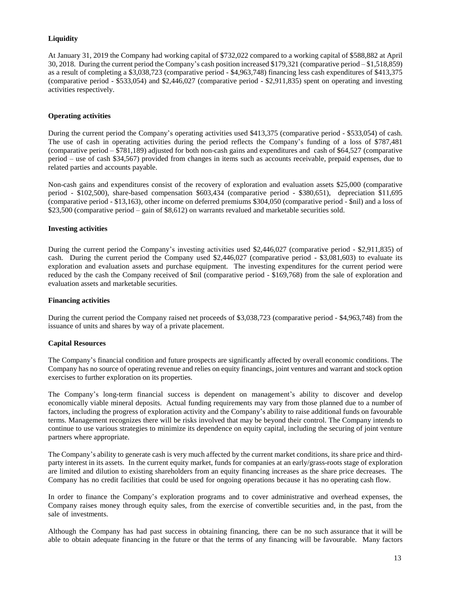## **Liquidity**

At January 31, 2019 the Company had working capital of \$732,022 compared to a working capital of \$588,882 at April 30, 2018. During the current period the Company's cash position increased \$179,321 (comparative period – \$1,518,859) as a result of completing a \$3,038,723 (comparative period - \$4,963,748) financing less cash expenditures of \$413,375 (comparative period - \$533,054) and \$2,446,027 (comparative period - \$2,911,835) spent on operating and investing activities respectively.

## **Operating activities**

During the current period the Company's operating activities used \$413,375 (comparative period - \$533,054) of cash. The use of cash in operating activities during the period reflects the Company's funding of a loss of \$787,481 (comparative period – \$781,189) adjusted for both non-cash gains and expenditures and cash of \$64,527 (comparative period – use of cash \$34,567) provided from changes in items such as accounts receivable, prepaid expenses, due to related parties and accounts payable.

Non-cash gains and expenditures consist of the recovery of exploration and evaluation assets \$25,000 (comparative period - \$102,500), share-based compensation \$603,434 (comparative period - \$380,651), depreciation \$11,695 (comparative period - \$13,163), other income on deferred premiums \$304,050 (comparative period - \$nil) and a loss of \$23,500 (comparative period – gain of \$8,612) on warrants revalued and marketable securities sold.

## **Investing activities**

During the current period the Company's investing activities used \$2,446,027 (comparative period - \$2,911,835) of cash. During the current period the Company used \$2,446,027 (comparative period - \$3,081,603) to evaluate its exploration and evaluation assets and purchase equipment. The investing expenditures for the current period were reduced by the cash the Company received of \$nil (comparative period - \$169,768) from the sale of exploration and evaluation assets and marketable securities.

## **Financing activities**

During the current period the Company raised net proceeds of \$3,038,723 (comparative period - \$4,963,748) from the issuance of units and shares by way of a private placement.

## **Capital Resources**

The Company's financial condition and future prospects are significantly affected by overall economic conditions. The Company has no source of operating revenue and relies on equity financings, joint ventures and warrant and stock option exercises to further exploration on its properties.

The Company's long-term financial success is dependent on management's ability to discover and develop economically viable mineral deposits. Actual funding requirements may vary from those planned due to a number of factors, including the progress of exploration activity and the Company's ability to raise additional funds on favourable terms. Management recognizes there will be risks involved that may be beyond their control. The Company intends to continue to use various strategies to minimize its dependence on equity capital, including the securing of joint venture partners where appropriate.

The Company's ability to generate cash is very much affected by the current market conditions, its share price and thirdparty interest in its assets. In the current equity market, funds for companies at an early/grass-roots stage of exploration are limited and dilution to existing shareholders from an equity financing increases as the share price decreases. The Company has no credit facilities that could be used for ongoing operations because it has no operating cash flow.

In order to finance the Company's exploration programs and to cover administrative and overhead expenses, the Company raises money through equity sales, from the exercise of convertible securities and, in the past, from the sale of investments.

Although the Company has had past success in obtaining financing, there can be no such assurance that it will be able to obtain adequate financing in the future or that the terms of any financing will be favourable. Many factors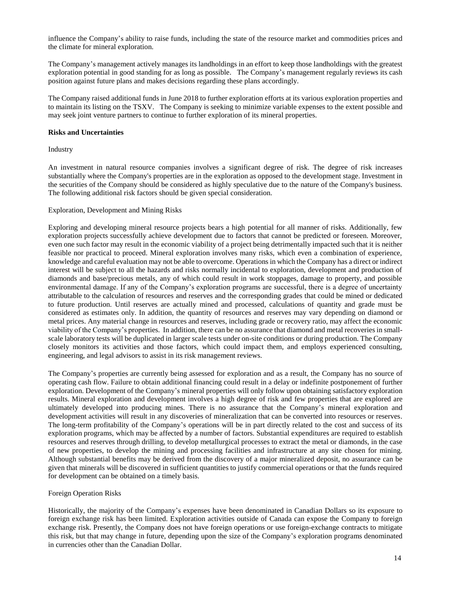influence the Company's ability to raise funds, including the state of the resource market and commodities prices and the climate for mineral exploration.

The Company's management actively manages its landholdings in an effort to keep those landholdings with the greatest exploration potential in good standing for as long as possible. The Company's management regularly reviews its cash position against future plans and makes decisions regarding these plans accordingly.

The Company raised additional funds in June 2018 to further exploration efforts at its various exploration properties and to maintain its listing on the TSXV. The Company is seeking to minimize variable expenses to the extent possible and may seek joint venture partners to continue to further exploration of its mineral properties.

## **Risks and Uncertainties**

Industry

An investment in natural resource companies involves a significant degree of risk. The degree of risk increases substantially where the Company's properties are in the exploration as opposed to the development stage. Investment in the securities of the Company should be considered as highly speculative due to the nature of the Company's business. The following additional risk factors should be given special consideration.

## Exploration, Development and Mining Risks

Exploring and developing mineral resource projects bears a high potential for all manner of risks. Additionally, few exploration projects successfully achieve development due to factors that cannot be predicted or foreseen. Moreover, even one such factor may result in the economic viability of a project being detrimentally impacted such that it is neither feasible nor practical to proceed. Mineral exploration involves many risks, which even a combination of experience, knowledge and careful evaluation may not be able to overcome. Operations in which the Company has a direct or indirect interest will be subject to all the hazards and risks normally incidental to exploration, development and production of diamonds and base/precious metals, any of which could result in work stoppages, damage to property, and possible environmental damage. If any of the Company's exploration programs are successful, there is a degree of uncertainty attributable to the calculation of resources and reserves and the corresponding grades that could be mined or dedicated to future production. Until reserves are actually mined and processed, calculations of quantity and grade must be considered as estimates only. In addition, the quantity of resources and reserves may vary depending on diamond or metal prices. Any material change in resources and reserves, including grade or recovery ratio, may affect the economic viability of the Company's properties. In addition, there can be no assurance that diamond and metal recoveries in smallscale laboratory tests will be duplicated in larger scale tests under on-site conditions or during production. The Company closely monitors its activities and those factors, which could impact them, and employs experienced consulting, engineering, and legal advisors to assist in its risk management reviews.

The Company's properties are currently being assessed for exploration and as a result, the Company has no source of operating cash flow. Failure to obtain additional financing could result in a delay or indefinite postponement of further exploration. Development of the Company's mineral properties will only follow upon obtaining satisfactory exploration results. Mineral exploration and development involves a high degree of risk and few properties that are explored are ultimately developed into producing mines. There is no assurance that the Company's mineral exploration and development activities will result in any discoveries of mineralization that can be converted into resources or reserves. The long-term profitability of the Company's operations will be in part directly related to the cost and success of its exploration programs, which may be affected by a number of factors. Substantial expenditures are required to establish resources and reserves through drilling, to develop metallurgical processes to extract the metal or diamonds, in the case of new properties, to develop the mining and processing facilities and infrastructure at any site chosen for mining. Although substantial benefits may be derived from the discovery of a major mineralized deposit, no assurance can be given that minerals will be discovered in sufficient quantities to justify commercial operations or that the funds required for development can be obtained on a timely basis.

#### Foreign Operation Risks

Historically, the majority of the Company's expenses have been denominated in Canadian Dollars so its exposure to foreign exchange risk has been limited. Exploration activities outside of Canada can expose the Company to foreign exchange risk. Presently, the Company does not have foreign operations or use foreign-exchange contracts to mitigate this risk, but that may change in future, depending upon the size of the Company's exploration programs denominated in currencies other than the Canadian Dollar.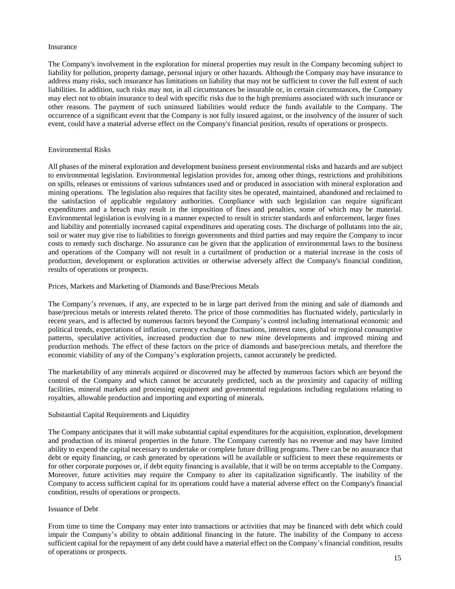#### Insurance

The Company's involvement in the exploration for mineral properties may result in the Company becoming subject to liability for pollution, property damage, personal injury or other hazards. Although the Company may have insurance to address many risks, such insurance has limitations on liability that may not be sufficient to cover the full extent of such liabilities. In addition, such risks may not, in all circumstances be insurable or, in certain circumstances, the Company may elect not to obtain insurance to deal with specific risks due to the high premiums associated with such insurance or other reasons. The payment of such uninsured liabilities would reduce the funds available to the Company. The occurrence of a significant event that the Company is not fully insured against, or the insolvency of the insurer of such event, could have a material adverse effect on the Company's financial position, results of operations or prospects.

#### Environmental Risks

All phases of the mineral exploration and development business present environmental risks and hazards and are subject to environmental legislation. Environmental legislation provides for, among other things, restrictions and prohibitions on spills, releases or emissions of various substances used and or produced in association with mineral exploration and mining operations. The legislation also requires that facility sites be operated, maintained, abandoned and reclaimed to the satisfaction of applicable regulatory authorities. Compliance with such legislation can require significant expenditures and a breach may result in the imposition of fines and penalties, some of which may be material. Environmental legislation is evolving in a manner expected to result in stricter standards and enforcement, larger fines and liability and potentially increased capital expenditures and operating costs. The discharge of pollutants into the air, soil or water may give rise to liabilities to foreign governments and third parties and may require the Company to incur costs to remedy such discharge. No assurance can be given that the application of environmental laws to the business and operations of the Company will not result in a curtailment of production or a material increase in the costs of production, development or exploration activities or otherwise adversely affect the Company's financial condition, results of operations or prospects.

Prices, Markets and Marketing of Diamonds and Base/Precious Metals

The Company's revenues, if any, are expected to be in large part derived from the mining and sale of diamonds and base/precious metals or interests related thereto. The price of those commodities has fluctuated widely, particularly in recent years, and is affected by numerous factors beyond the Company's control including international economic and political trends, expectations of inflation, currency exchange fluctuations, interest rates, global or regional consumptive patterns, speculative activities, increased production due to new mine developments and improved mining and production methods. The effect of these factors on the price of diamonds and base/precious metals, and therefore the economic viability of any of the Company's exploration projects, cannot accurately be predicted.

The marketability of any minerals acquired or discovered may be affected by numerous factors which are beyond the control of the Company and which cannot be accurately predicted, such as the proximity and capacity of milling facilities, mineral markets and processing equipment and governmental regulations including regulations relating to royalties, allowable production and importing and exporting of minerals.

#### Substantial Capital Requirements and Liquidity

The Company anticipates that it will make substantial capital expenditures for the acquisition, exploration, development and production of its mineral properties in the future. The Company currently has no revenue and may have limited ability to expend the capital necessary to undertake or complete future drilling programs. There can be no assurance that debt or equity financing, or cash generated by operations will be available or sufficient to meet these requirements or for other corporate purposes or, if debt equity financing is available, that it will be on terms acceptable to the Company. Moreover, future activities may require the Company to alter its capitalization significantly. The inability of the Company to access sufficient capital for its operations could have a material adverse effect on the Company's financial condition, results of operations or prospects.

#### Issuance of Debt

From time to time the Company may enter into transactions or activities that may be financed with debt which could impair the Company's ability to obtain additional financing in the future. The inability of the Company to access sufficient capital for the repayment of any debt could have a material effect on the Company's financial condition, results of operations or prospects.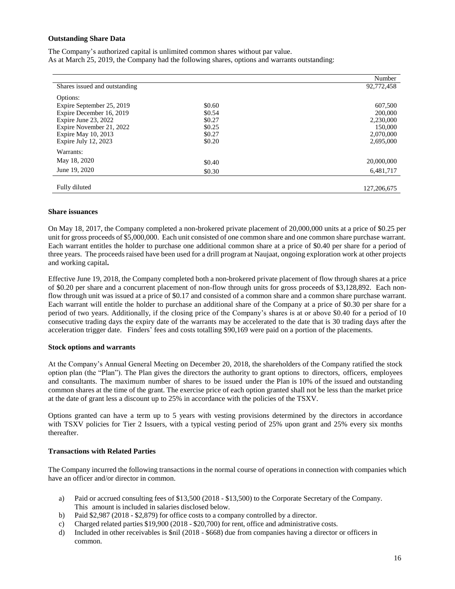#### **Outstanding Share Data**

The Company's authorized capital is unlimited common shares without par value. As at March 25, 2019, the Company had the following shares, options and warrants outstanding:

|                               |        | Number      |
|-------------------------------|--------|-------------|
| Shares issued and outstanding |        | 92,772,458  |
| Options:                      |        |             |
| Expire September 25, 2019     | \$0.60 | 607,500     |
| Expire December 16, 2019      | \$0.54 | 200,000     |
| Expire June 23, 2022          | \$0.27 | 2,230,000   |
| Expire November 21, 2022      | \$0.25 | 150,000     |
| Expire May 10, 2013           | \$0.27 | 2,070,000   |
| Expire July $12, 2023$        | \$0.20 | 2,695,000   |
| Warrants:                     |        |             |
| May 18, 2020                  | \$0.40 | 20,000,000  |
| June 19, 2020                 | \$0.30 | 6,481,717   |
|                               |        |             |
| Fully diluted                 |        | 127,206,675 |

#### **Share issuances**

On May 18, 2017, the Company completed a non-brokered private placement of 20,000,000 units at a price of \$0.25 per unit for gross proceeds of \$5,000,000. Each unit consisted of one common share and one common share purchase warrant. Each warrant entitles the holder to purchase one additional common share at a price of \$0.40 per share for a period of three years. The proceeds raised have been used for a drill program at Naujaat, ongoing exploration work at other projects and working capital**.**

Effective June 19, 2018, the Company completed both a non-brokered private placement of flow through shares at a price of \$0.20 per share and a concurrent placement of non-flow through units for gross proceeds of \$3,128,892. Each nonflow through unit was issued at a price of \$0.17 and consisted of a common share and a common share purchase warrant. Each warrant will entitle the holder to purchase an additional share of the Company at a price of \$0.30 per share for a period of two years. Additionally, if the closing price of the Company's shares is at or above \$0.40 for a period of 10 consecutive trading days the expiry date of the warrants may be accelerated to the date that is 30 trading days after the acceleration trigger date. Finders' fees and costs totalling \$90,169 were paid on a portion of the placements.

#### **Stock options and warrants**

At the Company's Annual General Meeting on December 20, 2018, the shareholders of the Company ratified the stock option plan (the "Plan"). The Plan gives the directors the authority to grant options to directors, officers, employees and consultants. The maximum number of shares to be issued under the Plan is 10% of the issued and outstanding common shares at the time of the grant. The exercise price of each option granted shall not be less than the market price at the date of grant less a discount up to 25% in accordance with the policies of the TSXV.

Options granted can have a term up to 5 years with vesting provisions determined by the directors in accordance with TSXV policies for Tier 2 Issuers, with a typical vesting period of 25% upon grant and 25% every six months thereafter.

#### **Transactions with Related Parties**

The Company incurred the following transactions in the normal course of operations in connection with companies which have an officer and/or director in common.

- a) Paid or accrued consulting fees of \$13,500 (2018 \$13,500) to the Corporate Secretary of the Company. This amount is included in salaries disclosed below.
- b) Paid \$2,987 (2018 \$2,879) for office costs to a company controlled by a director.
- c) Charged related parties \$19,900 (2018 \$20,700) for rent, office and administrative costs.
- d) Included in other receivables is \$nil (2018 \$668) due from companies having a director or officers in common.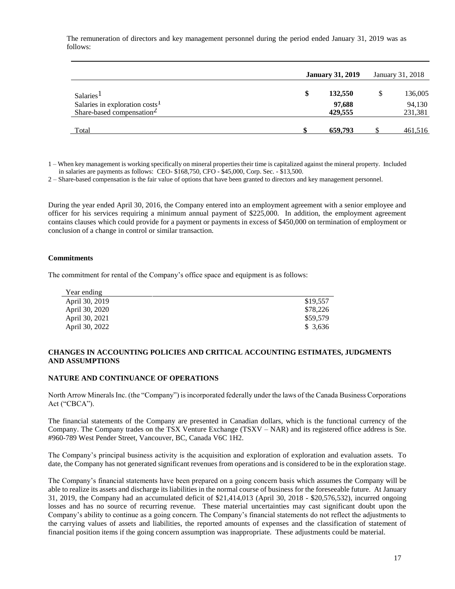The remuneration of directors and key management personnel during the period ended January 31, 2019 was as follows:

|                                                                                     | <b>January 31, 2019</b> | January 31, 2018  |  |                   |
|-------------------------------------------------------------------------------------|-------------------------|-------------------|--|-------------------|
| Salaries <sup>1</sup>                                                               | \$                      | 132,550           |  | 136,005           |
| Salaries in exploration costs <sup>1</sup><br>Share-based compensation <sup>2</sup> |                         | 97,688<br>429,555 |  | 94,130<br>231,381 |
| Total                                                                               |                         | 659,793           |  | 461,516           |

1 – When key management is working specifically on mineral properties their time is capitalized against the mineral property. Included in salaries are payments as follows: CEO- \$168,750, CFO - \$45,000, Corp. Sec. - \$13,500.

2 – Share-based compensation is the fair value of options that have been granted to directors and key management personnel.

During the year ended April 30, 2016, the Company entered into an employment agreement with a senior employee and officer for his services requiring a minimum annual payment of \$225,000. In addition, the employment agreement contains clauses which could provide for a payment or payments in excess of \$450,000 on termination of employment or conclusion of a change in control or similar transaction.

## **Commitments**

The commitment for rental of the Company's office space and equipment is as follows:

| Year ending    |          |
|----------------|----------|
| April 30, 2019 | \$19,557 |
| April 30, 2020 | \$78,226 |
| April 30, 2021 | \$59,579 |
| April 30, 2022 | \$ 3.636 |

## **CHANGES IN ACCOUNTING POLICIES AND CRITICAL ACCOUNTING ESTIMATES, JUDGMENTS AND ASSUMPTIONS**

#### **NATURE AND CONTINUANCE OF OPERATIONS**

North Arrow Minerals Inc. (the "Company") is incorporated federally under the laws of the Canada Business Corporations Act ("CBCA").

The financial statements of the Company are presented in Canadian dollars, which is the functional currency of the Company. The Company trades on the TSX Venture Exchange (TSXV – NAR) and its registered office address is Ste. #960-789 West Pender Street, Vancouver, BC, Canada V6C 1H2.

The Company's principal business activity is the acquisition and exploration of exploration and evaluation assets. To date, the Company has not generated significant revenues from operations and is considered to be in the exploration stage.

The Company's financial statements have been prepared on a going concern basis which assumes the Company will be able to realize its assets and discharge its liabilities in the normal course of business for the foreseeable future. At January 31, 2019, the Company had an accumulated deficit of \$21,414,013 (April 30, 2018 - \$20,576,532), incurred ongoing losses and has no source of recurring revenue. These material uncertainties may cast significant doubt upon the Company's ability to continue as a going concern. The Company's financial statements do not reflect the adjustments to the carrying values of assets and liabilities, the reported amounts of expenses and the classification of statement of financial position items if the going concern assumption was inappropriate. These adjustments could be material.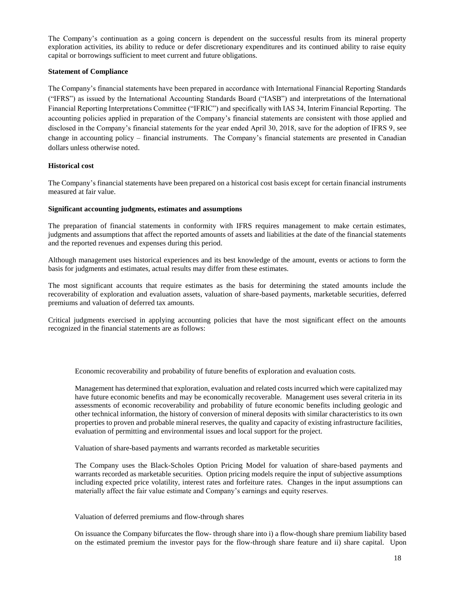The Company's continuation as a going concern is dependent on the successful results from its mineral property exploration activities, its ability to reduce or defer discretionary expenditures and its continued ability to raise equity capital or borrowings sufficient to meet current and future obligations.

## **Statement of Compliance**

The Company's financial statements have been prepared in accordance with International Financial Reporting Standards ("IFRS") as issued by the International Accounting Standards Board ("IASB") and interpretations of the International Financial Reporting Interpretations Committee ("IFRIC") and specifically with IAS 34, Interim Financial Reporting. The accounting policies applied in preparation of the Company's financial statements are consistent with those applied and disclosed in the Company's financial statements for the year ended April 30, 2018, save for the adoption of IFRS 9, see change in accounting policy – financial instruments. The Company's financial statements are presented in Canadian dollars unless otherwise noted.

## **Historical cost**

The Company's financial statements have been prepared on a historical cost basis except for certain financial instruments measured at fair value.

## **Significant accounting judgments, estimates and assumptions**

The preparation of financial statements in conformity with IFRS requires management to make certain estimates, judgments and assumptions that affect the reported amounts of assets and liabilities at the date of the financial statements and the reported revenues and expenses during this period.

Although management uses historical experiences and its best knowledge of the amount, events or actions to form the basis for judgments and estimates, actual results may differ from these estimates.

The most significant accounts that require estimates as the basis for determining the stated amounts include the recoverability of exploration and evaluation assets, valuation of share-based payments, marketable securities, deferred premiums and valuation of deferred tax amounts.

Critical judgments exercised in applying accounting policies that have the most significant effect on the amounts recognized in the financial statements are as follows:

Economic recoverability and probability of future benefits of exploration and evaluation costs*.* 

Management has determined that exploration, evaluation and related costs incurred which were capitalized may have future economic benefits and may be economically recoverable. Management uses several criteria in its assessments of economic recoverability and probability of future economic benefits including geologic and other technical information, the history of conversion of mineral deposits with similar characteristics to its own properties to proven and probable mineral reserves, the quality and capacity of existing infrastructure facilities, evaluation of permitting and environmental issues and local support for the project.

Valuation of share-based payments and warrants recorded as marketable securities

The Company uses the Black-Scholes Option Pricing Model for valuation of share-based payments and warrants recorded as marketable securities. Option pricing models require the input of subjective assumptions including expected price volatility, interest rates and forfeiture rates. Changes in the input assumptions can materially affect the fair value estimate and Company's earnings and equity reserves.

Valuation of deferred premiums and flow-through shares

On issuance the Company bifurcates the flow- through share into i) a flow-though share premium liability based on the estimated premium the investor pays for the flow-through share feature and ii) share capital. Upon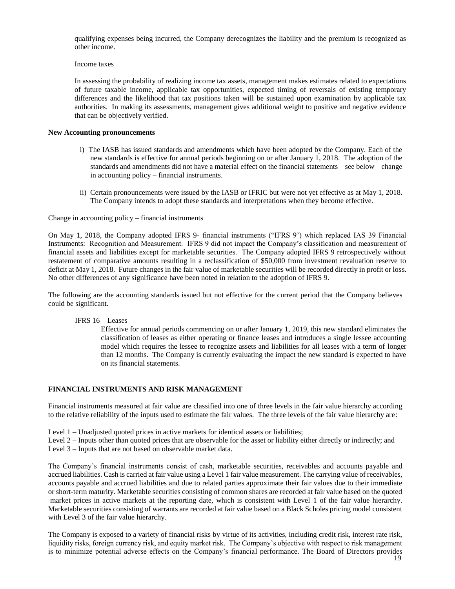qualifying expenses being incurred, the Company derecognizes the liability and the premium is recognized as other income.

Income taxes

In assessing the probability of realizing income tax assets, management makes estimates related to expectations of future taxable income, applicable tax opportunities, expected timing of reversals of existing temporary differences and the likelihood that tax positions taken will be sustained upon examination by applicable tax authorities. In making its assessments, management gives additional weight to positive and negative evidence that can be objectively verified.

## **New Accounting pronouncements**

- i) The IASB has issued standards and amendments which have been adopted by the Company. Each of the new standards is effective for annual periods beginning on or after January 1, 2018. The adoption of the standards and amendments did not have a material effect on the financial statements – see below – change in accounting policy – financial instruments.
- ii) Certain pronouncements were issued by the IASB or IFRIC but were not yet effective as at May 1, 2018. The Company intends to adopt these standards and interpretations when they become effective.

Change in accounting policy – financial instruments

On May 1, 2018, the Company adopted IFRS 9- financial instruments ("IFRS 9') which replaced IAS 39 Financial Instruments: Recognition and Measurement. IFRS 9 did not impact the Company's classification and measurement of financial assets and liabilities except for marketable securities. The Company adopted IFRS 9 retrospectively without restatement of comparative amounts resulting in a reclassification of \$50,000 from investment revaluation reserve to deficit at May 1, 2018. Future changes in the fair value of marketable securities will be recorded directly in profit or loss. No other differences of any significance have been noted in relation to the adoption of IFRS 9.

The following are the accounting standards issued but not effective for the current period that the Company believes could be significant.

IFRS 16 – Leases

Effective for annual periods commencing on or after January 1, 2019, this new standard eliminates the classification of leases as either operating or finance leases and introduces a single lessee accounting model which requires the lessee to recognize assets and liabilities for all leases with a term of longer than 12 months. The Company is currently evaluating the impact the new standard is expected to have on its financial statements.

## **FINANCIAL INSTRUMENTS AND RISK MANAGEMENT**

Financial instruments measured at fair value are classified into one of three levels in the fair value hierarchy according to the relative reliability of the inputs used to estimate the fair values. The three levels of the fair value hierarchy are:

- Level 1 Unadjusted quoted prices in active markets for identical assets or liabilities;
- Level 2 Inputs other than quoted prices that are observable for the asset or liability either directly or indirectly; and

Level 3 – Inputs that are not based on observable market data.

The Company's financial instruments consist of cash, marketable securities, receivables and accounts payable and accrued liabilities. Cash is carried at fair value using a Level 1 fair value measurement. The carrying value of receivables, accounts payable and accrued liabilities and due to related parties approximate their fair values due to their immediate or short-term maturity. Marketable securities consisting of common shares are recorded at fair value based on the quoted market prices in active markets at the reporting date, which is consistent with Level 1 of the fair value hierarchy. Marketable securities consisting of warrants are recorded at fair value based on a Black Scholes pricing model consistent with Level 3 of the fair value hierarchy.

The Company is exposed to a variety of financial risks by virtue of its activities, including credit risk, interest rate risk, liquidity risks, foreign currency risk, and equity market risk. The Company's objective with respect to risk management is to minimize potential adverse effects on the Company's financial performance. The Board of Directors provides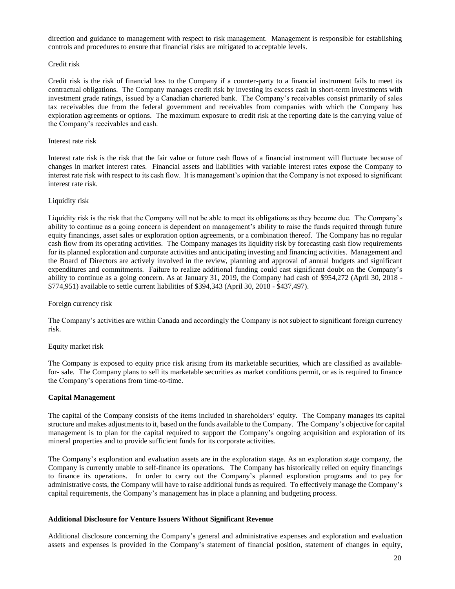direction and guidance to management with respect to risk management. Management is responsible for establishing controls and procedures to ensure that financial risks are mitigated to acceptable levels.

#### Credit risk

Credit risk is the risk of financial loss to the Company if a counter-party to a financial instrument fails to meet its contractual obligations. The Company manages credit risk by investing its excess cash in short-term investments with investment grade ratings, issued by a Canadian chartered bank. The Company's receivables consist primarily of sales tax receivables due from the federal government and receivables from companies with which the Company has exploration agreements or options. The maximum exposure to credit risk at the reporting date is the carrying value of the Company's receivables and cash.

#### Interest rate risk

Interest rate risk is the risk that the fair value or future cash flows of a financial instrument will fluctuate because of changes in market interest rates. Financial assets and liabilities with variable interest rates expose the Company to interest rate risk with respect to its cash flow. It is management's opinion that the Company is not exposed to significant interest rate risk.

#### Liquidity risk

Liquidity risk is the risk that the Company will not be able to meet its obligations as they become due. The Company's ability to continue as a going concern is dependent on management's ability to raise the funds required through future equity financings, asset sales or exploration option agreements, or a combination thereof. The Company has no regular cash flow from its operating activities. The Company manages its liquidity risk by forecasting cash flow requirements for its planned exploration and corporate activities and anticipating investing and financing activities. Management and the Board of Directors are actively involved in the review, planning and approval of annual budgets and significant expenditures and commitments. Failure to realize additional funding could cast significant doubt on the Company's ability to continue as a going concern. As at January 31, 2019, the Company had cash of \$954,272 (April 30, 2018 - \$774,951) available to settle current liabilities of \$394,343 (April 30, 2018 - \$437,497).

#### Foreign currency risk

The Company's activities are within Canada and accordingly the Company is not subject to significant foreign currency risk.

#### Equity market risk

The Company is exposed to equity price risk arising from its marketable securities, which are classified as availablefor- sale. The Company plans to sell its marketable securities as market conditions permit, or as is required to finance the Company's operations from time-to-time.

#### **Capital Management**

The capital of the Company consists of the items included in shareholders' equity. The Company manages its capital structure and makes adjustments to it, based on the funds available to the Company. The Company's objective for capital management is to plan for the capital required to support the Company's ongoing acquisition and exploration of its mineral properties and to provide sufficient funds for its corporate activities.

The Company's exploration and evaluation assets are in the exploration stage. As an exploration stage company, the Company is currently unable to self-finance its operations. The Company has historically relied on equity financings to finance its operations. In order to carry out the Company's planned exploration programs and to pay for administrative costs, the Company will have to raise additional funds as required. To effectively manage the Company's capital requirements, the Company's management has in place a planning and budgeting process.

#### **Additional Disclosure for Venture Issuers Without Significant Revenue**

Additional disclosure concerning the Company's general and administrative expenses and exploration and evaluation assets and expenses is provided in the Company's statement of financial position, statement of changes in equity,